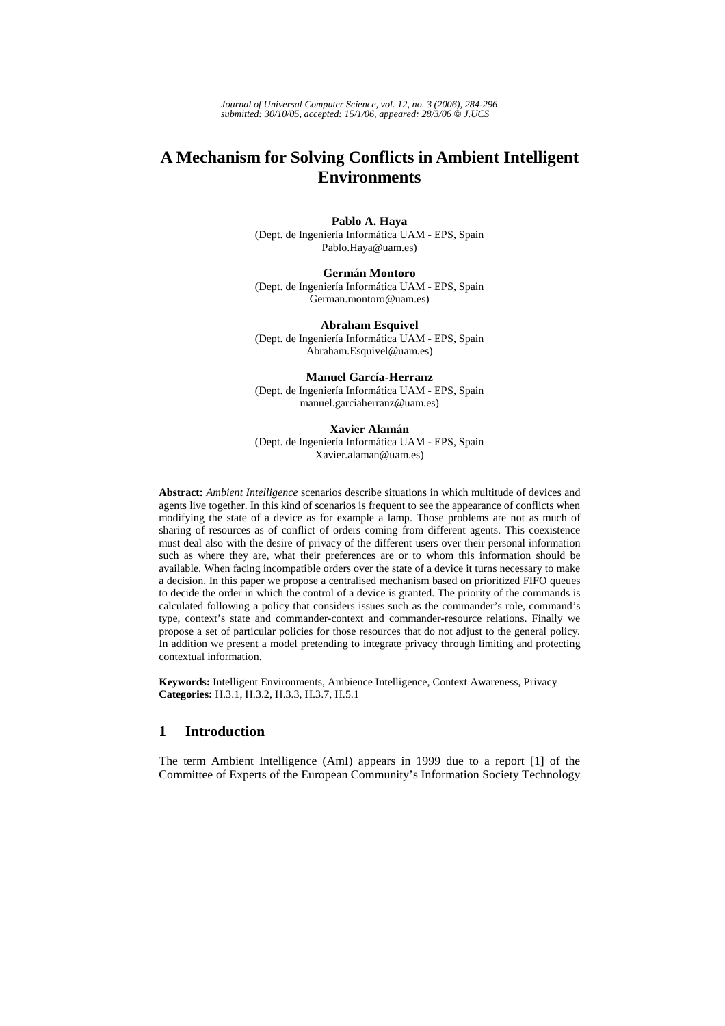*Journal of Universal Computer Science, vol. 12, no. 3 (2006), 284-296 submitted: 30/10/05, accepted: 15/1/06, appeared: 28/3/06* © *J.UCS*

# **A Mechanism for Solving Conflicts in Ambient Intelligent Environments**

**Pablo A. Haya**  (Dept. de Ingeniería Informática UAM - EPS, Spain Pablo.Haya@uam.es)

**Germán Montoro** (Dept. de Ingeniería Informática UAM - EPS, Spain German.montoro@uam.es)

**Abraham Esquivel** (Dept. de Ingeniería Informática UAM - EPS, Spain Abraham.Esquivel@uam.es)

**Manuel García-Herranz** (Dept. de Ingeniería Informática UAM - EPS, Spain manuel.garciaherranz@uam.es)

**Xavier Alamán** (Dept. de Ingeniería Informática UAM - EPS, Spain Xavier.alaman@uam.es)

**Abstract:** *Ambient Intelligence* scenarios describe situations in which multitude of devices and agents live together. In this kind of scenarios is frequent to see the appearance of conflicts when modifying the state of a device as for example a lamp. Those problems are not as much of sharing of resources as of conflict of orders coming from different agents. This coexistence must deal also with the desire of privacy of the different users over their personal information such as where they are, what their preferences are or to whom this information should be available. When facing incompatible orders over the state of a device it turns necessary to make a decision. In this paper we propose a centralised mechanism based on prioritized FIFO queues to decide the order in which the control of a device is granted. The priority of the commands is calculated following a policy that considers issues such as the commander's role, command's type, context's state and commander-context and commander-resource relations. Finally we propose a set of particular policies for those resources that do not adjust to the general policy. In addition we present a model pretending to integrate privacy through limiting and protecting contextual information.

**Keywords:** Intelligent Environments, Ambience Intelligence, Context Awareness, Privacy **Categories:** H.3.1, H.3.2, H.3.3, H.3.7, H.5.1

## **1 Introduction**

The term Ambient Intelligence (AmI) appears in 1999 due to a report [1] of the Committee of Experts of the European Community's Information Society Technology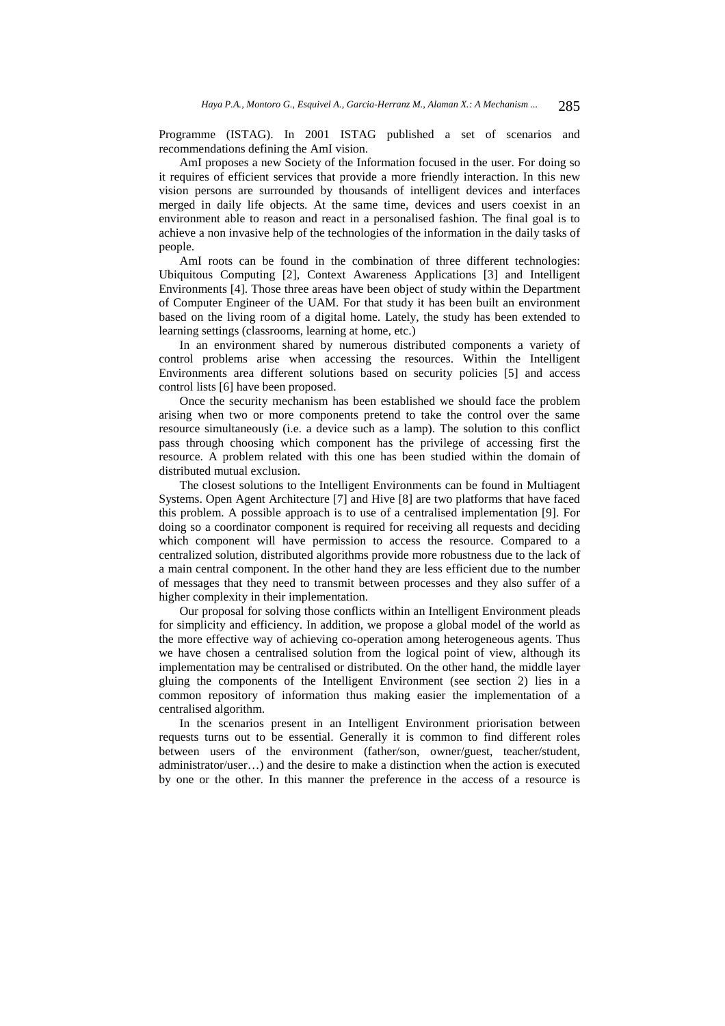Programme (ISTAG). In 2001 ISTAG published a set of scenarios and recommendations defining the AmI vision.

AmI proposes a new Society of the Information focused in the user. For doing so it requires of efficient services that provide a more friendly interaction. In this new vision persons are surrounded by thousands of intelligent devices and interfaces merged in daily life objects. At the same time, devices and users coexist in an environment able to reason and react in a personalised fashion. The final goal is to achieve a non invasive help of the technologies of the information in the daily tasks of people.

AmI roots can be found in the combination of three different technologies: Ubiquitous Computing [2], Context Awareness Applications [3] and Intelligent Environments [4]. Those three areas have been object of study within the Department of Computer Engineer of the UAM. For that study it has been built an environment based on the living room of a digital home. Lately, the study has been extended to learning settings (classrooms, learning at home, etc.)

In an environment shared by numerous distributed components a variety of control problems arise when accessing the resources. Within the Intelligent Environments area different solutions based on security policies [5] and access control lists [6] have been proposed.

Once the security mechanism has been established we should face the problem arising when two or more components pretend to take the control over the same resource simultaneously (i.e. a device such as a lamp). The solution to this conflict pass through choosing which component has the privilege of accessing first the resource. A problem related with this one has been studied within the domain of distributed mutual exclusion.

The closest solutions to the Intelligent Environments can be found in Multiagent Systems. Open Agent Architecture [7] and Hive [8] are two platforms that have faced this problem. A possible approach is to use of a centralised implementation [9]. For doing so a coordinator component is required for receiving all requests and deciding which component will have permission to access the resource. Compared to a centralized solution, distributed algorithms provide more robustness due to the lack of a main central component. In the other hand they are less efficient due to the number of messages that they need to transmit between processes and they also suffer of a higher complexity in their implementation.

Our proposal for solving those conflicts within an Intelligent Environment pleads for simplicity and efficiency. In addition, we propose a global model of the world as the more effective way of achieving co-operation among heterogeneous agents. Thus we have chosen a centralised solution from the logical point of view, although its implementation may be centralised or distributed. On the other hand, the middle layer gluing the components of the Intelligent Environment (see section 2) lies in a common repository of information thus making easier the implementation of a centralised algorithm.

In the scenarios present in an Intelligent Environment priorisation between requests turns out to be essential. Generally it is common to find different roles between users of the environment (father/son, owner/guest, teacher/student, administrator/user…) and the desire to make a distinction when the action is executed by one or the other. In this manner the preference in the access of a resource is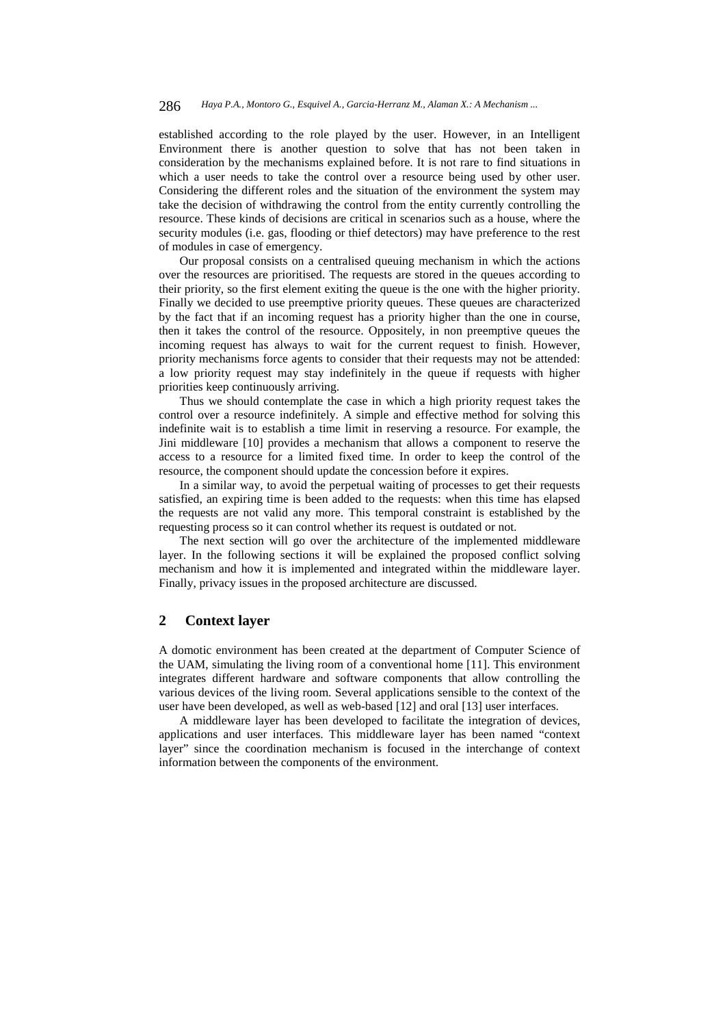established according to the role played by the user. However, in an Intelligent Environment there is another question to solve that has not been taken in consideration by the mechanisms explained before. It is not rare to find situations in which a user needs to take the control over a resource being used by other user. Considering the different roles and the situation of the environment the system may take the decision of withdrawing the control from the entity currently controlling the resource. These kinds of decisions are critical in scenarios such as a house, where the security modules (i.e. gas, flooding or thief detectors) may have preference to the rest of modules in case of emergency.

Our proposal consists on a centralised queuing mechanism in which the actions over the resources are prioritised. The requests are stored in the queues according to their priority, so the first element exiting the queue is the one with the higher priority. Finally we decided to use preemptive priority queues. These queues are characterized by the fact that if an incoming request has a priority higher than the one in course, then it takes the control of the resource. Oppositely, in non preemptive queues the incoming request has always to wait for the current request to finish. However, priority mechanisms force agents to consider that their requests may not be attended: a low priority request may stay indefinitely in the queue if requests with higher priorities keep continuously arriving.

Thus we should contemplate the case in which a high priority request takes the control over a resource indefinitely. A simple and effective method for solving this indefinite wait is to establish a time limit in reserving a resource. For example, the Jini middleware [10] provides a mechanism that allows a component to reserve the access to a resource for a limited fixed time. In order to keep the control of the resource, the component should update the concession before it expires.

In a similar way, to avoid the perpetual waiting of processes to get their requests satisfied, an expiring time is been added to the requests: when this time has elapsed the requests are not valid any more. This temporal constraint is established by the requesting process so it can control whether its request is outdated or not.

The next section will go over the architecture of the implemented middleware layer. In the following sections it will be explained the proposed conflict solving mechanism and how it is implemented and integrated within the middleware layer. Finally, privacy issues in the proposed architecture are discussed.

# **2 Context layer**

A domotic environment has been created at the department of Computer Science of the UAM, simulating the living room of a conventional home [11]. This environment integrates different hardware and software components that allow controlling the various devices of the living room. Several applications sensible to the context of the user have been developed, as well as web-based [12] and oral [13] user interfaces.

A middleware layer has been developed to facilitate the integration of devices, applications and user interfaces. This middleware layer has been named "context layer" since the coordination mechanism is focused in the interchange of context information between the components of the environment.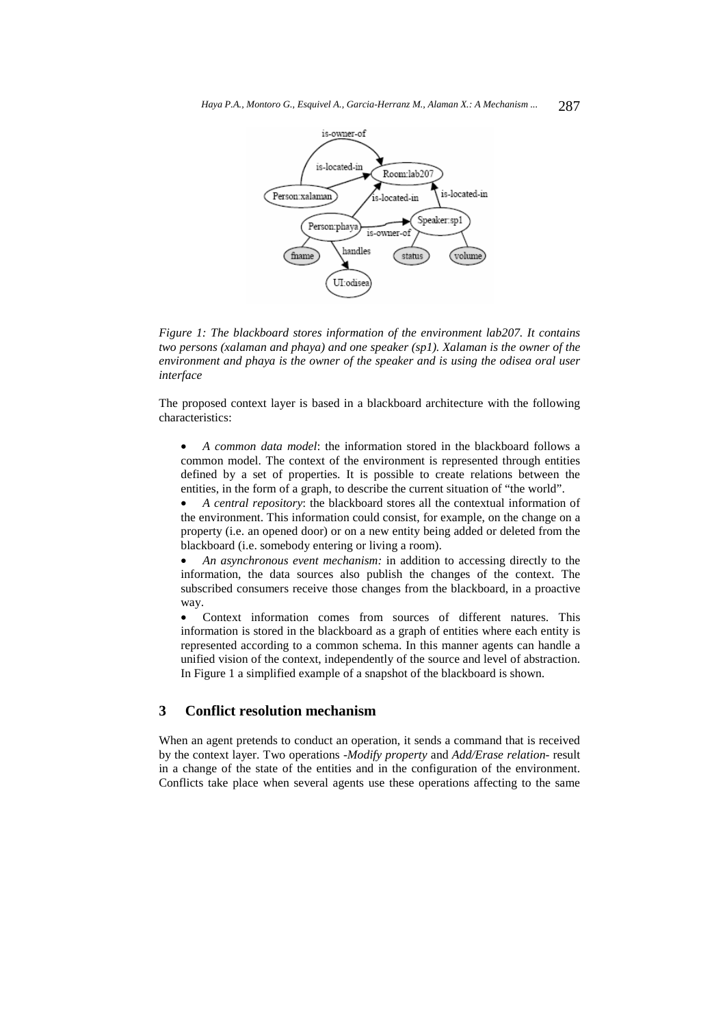

*Figure 1: The blackboard stores information of the environment lab207. It contains two persons (xalaman and phaya) and one speaker (sp1). Xalaman is the owner of the environment and phaya is the owner of the speaker and is using the odisea oral user interface* 

The proposed context layer is based in a blackboard architecture with the following characteristics:

• *A common data model*: the information stored in the blackboard follows a common model. The context of the environment is represented through entities defined by a set of properties. It is possible to create relations between the entities, in the form of a graph, to describe the current situation of "the world".

• *A central repository*: the blackboard stores all the contextual information of the environment. This information could consist, for example, on the change on a property (i.e. an opened door) or on a new entity being added or deleted from the blackboard (i.e. somebody entering or living a room).

• *An asynchronous event mechanism:* in addition to accessing directly to the information, the data sources also publish the changes of the context. The subscribed consumers receive those changes from the blackboard, in a proactive way.

• Context information comes from sources of different natures. This information is stored in the blackboard as a graph of entities where each entity is represented according to a common schema. In this manner agents can handle a unified vision of the context, independently of the source and level of abstraction. In Figure 1 a simplified example of a snapshot of the blackboard is shown.

## **3 Conflict resolution mechanism**

When an agent pretends to conduct an operation, it sends a command that is received by the context layer. Two operations -*Modify property* and *Add/Erase relation*- result in a change of the state of the entities and in the configuration of the environment. Conflicts take place when several agents use these operations affecting to the same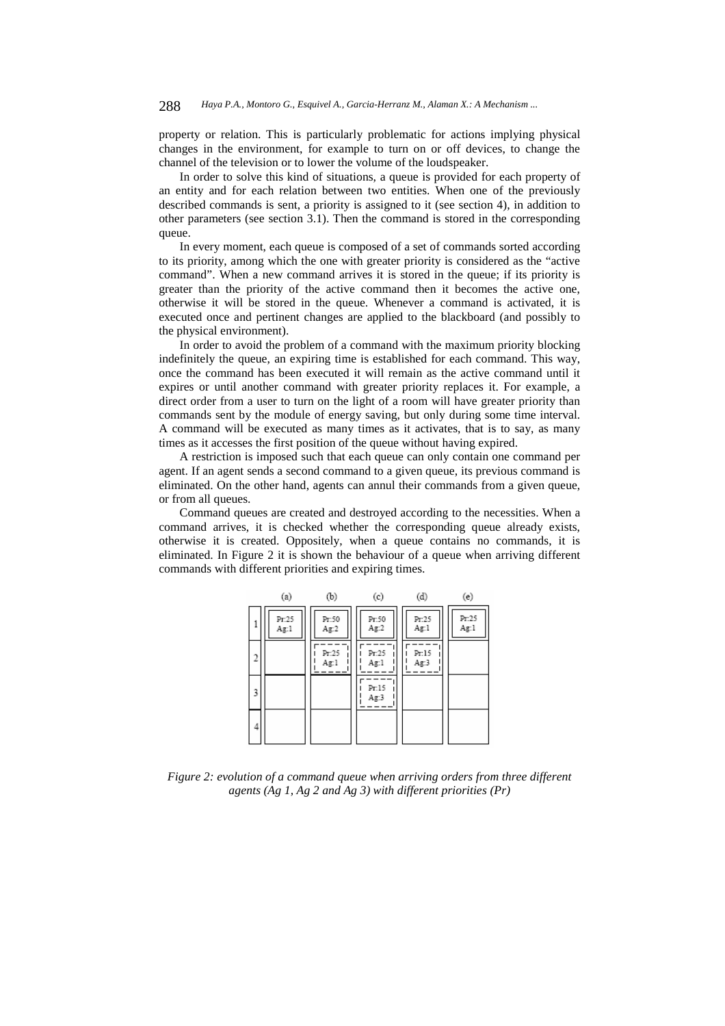property or relation. This is particularly problematic for actions implying physical changes in the environment, for example to turn on or off devices, to change the channel of the television or to lower the volume of the loudspeaker.

In order to solve this kind of situations, a queue is provided for each property of an entity and for each relation between two entities. When one of the previously described commands is sent, a priority is assigned to it (see section 4), in addition to other parameters (see section 3.1). Then the command is stored in the corresponding queue.

In every moment, each queue is composed of a set of commands sorted according to its priority, among which the one with greater priority is considered as the "active command". When a new command arrives it is stored in the queue; if its priority is greater than the priority of the active command then it becomes the active one, otherwise it will be stored in the queue. Whenever a command is activated, it is executed once and pertinent changes are applied to the blackboard (and possibly to the physical environment).

In order to avoid the problem of a command with the maximum priority blocking indefinitely the queue, an expiring time is established for each command. This way, once the command has been executed it will remain as the active command until it expires or until another command with greater priority replaces it. For example, a direct order from a user to turn on the light of a room will have greater priority than commands sent by the module of energy saving, but only during some time interval. A command will be executed as many times as it activates, that is to say, as many times as it accesses the first position of the queue without having expired.

A restriction is imposed such that each queue can only contain one command per agent. If an agent sends a second command to a given queue, its previous command is eliminated. On the other hand, agents can annul their commands from a given queue, or from all queues.

Command queues are created and destroyed according to the necessities. When a command arrives, it is checked whether the corresponding queue already exists, otherwise it is created. Oppositely, when a queue contains no commands, it is eliminated. In Figure 2 it is shown the behaviour of a queue when arriving different commands with different priorities and expiring times.

|   | (a)           | (b)           | (c)           | (d)           | (e)           |
|---|---------------|---------------|---------------|---------------|---------------|
|   | Pr.25<br>Ag:1 | Pr:50<br>Ag.2 | Pr:50<br>Ag:2 | Pr:25<br>Ag:1 | Pr:25<br>Ag:1 |
|   |               | Pr:25<br>Ag:1 | Pr.25<br>Ag:1 | Pr:15<br>Ag:3 |               |
| 3 |               |               | Pr:15<br>Ag:3 |               |               |
| 4 |               |               |               |               |               |

*Figure 2: evolution of a command queue when arriving orders from three different agents (Ag 1, Ag 2 and Ag 3) with different priorities (Pr)*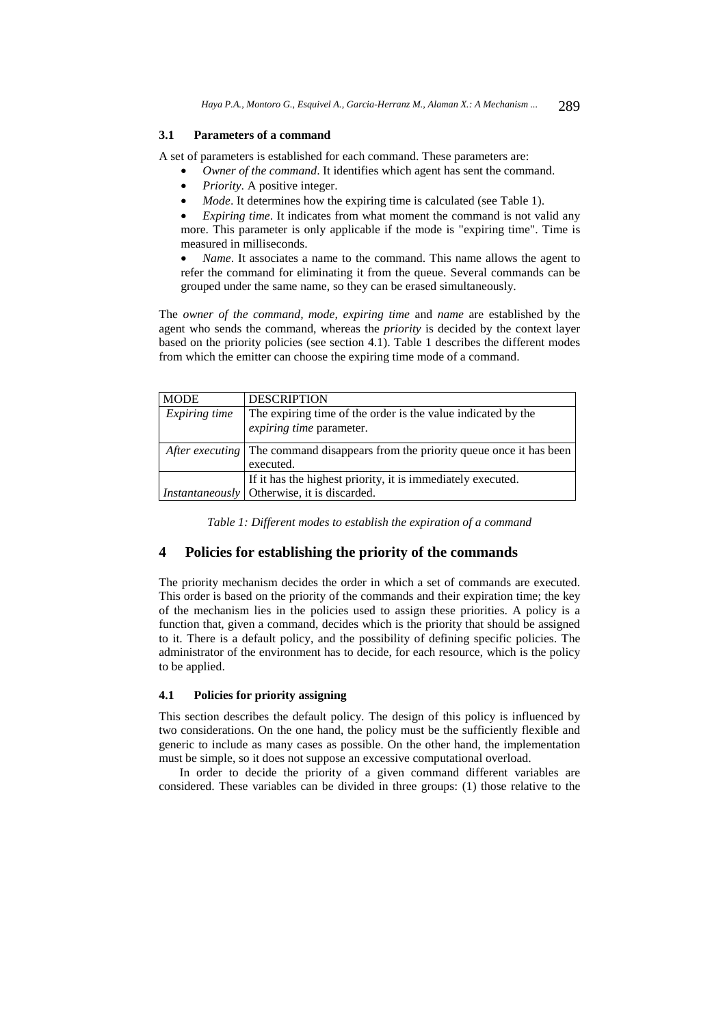### **3.1 Parameters of a command**

A set of parameters is established for each command. These parameters are:

- *Owner of the command*. It identifies which agent has sent the command.
- *Priority*. A positive integer.
- *Mode*. It determines how the expiring time is calculated (see Table 1).

*Expiring time.* It indicates from what moment the command is not valid any more. This parameter is only applicable if the mode is "expiring time". Time is measured in milliseconds.

• *Name*. It associates a name to the command. This name allows the agent to refer the command for eliminating it from the queue. Several commands can be grouped under the same name, so they can be erased simultaneously.

The *owner of the command, mode, expiring time* and *name* are established by the agent who sends the command, whereas the *priority* is decided by the context layer based on the priority policies (see section 4.1). Table 1 describes the different modes from which the emitter can choose the expiring time mode of a command.

| <b>MODE</b>   | <b>DESCRIPTION</b>                                                                     |  |
|---------------|----------------------------------------------------------------------------------------|--|
| Expiring time | The expiring time of the order is the value indicated by the                           |  |
|               | expiring time parameter.                                                               |  |
|               |                                                                                        |  |
|               | <i>After executing</i> The command disappears from the priority queue once it has been |  |
|               | executed.                                                                              |  |
|               | If it has the highest priority, it is immediately executed.                            |  |
|               | Instantaneously   Otherwise, it is discarded.                                          |  |

*Table 1: Different modes to establish the expiration of a command* 

## **4 Policies for establishing the priority of the commands**

The priority mechanism decides the order in which a set of commands are executed. This order is based on the priority of the commands and their expiration time; the key of the mechanism lies in the policies used to assign these priorities. A policy is a function that, given a command, decides which is the priority that should be assigned to it. There is a default policy, and the possibility of defining specific policies. The administrator of the environment has to decide, for each resource, which is the policy to be applied.

#### **4.1 Policies for priority assigning**

This section describes the default policy. The design of this policy is influenced by two considerations. On the one hand, the policy must be the sufficiently flexible and generic to include as many cases as possible. On the other hand, the implementation must be simple, so it does not suppose an excessive computational overload.

In order to decide the priority of a given command different variables are considered. These variables can be divided in three groups: (1) those relative to the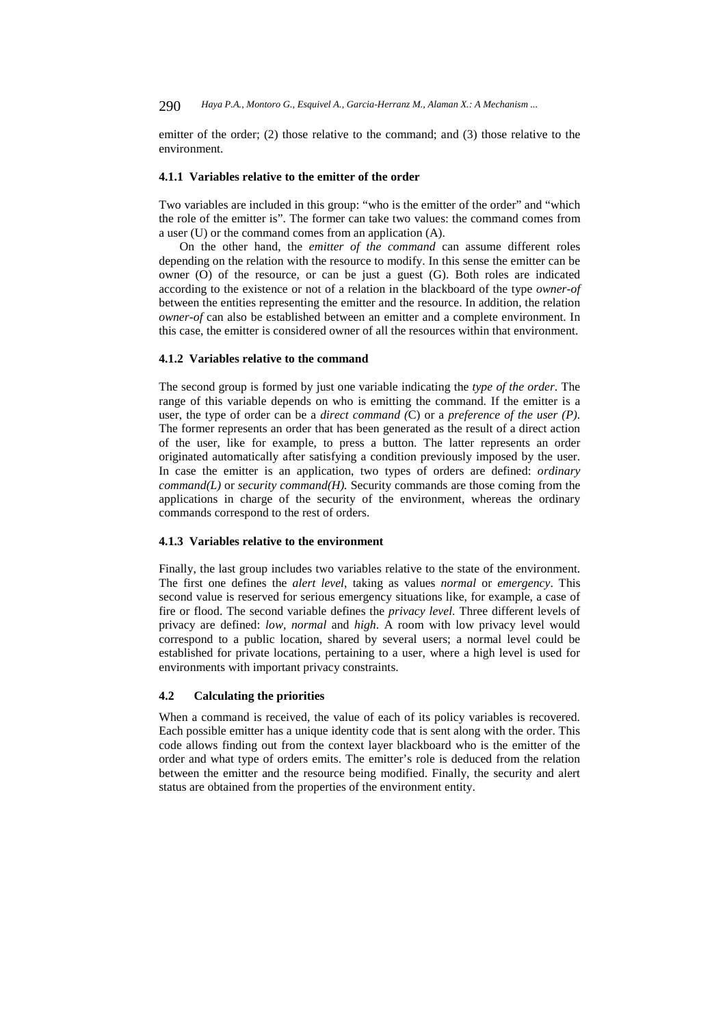emitter of the order; (2) those relative to the command; and (3) those relative to the environment.

#### **4.1.1 Variables relative to the emitter of the order**

Two variables are included in this group: "who is the emitter of the order" and "which the role of the emitter is". The former can take two values: the command comes from a user (U) or the command comes from an application (A).

On the other hand, the *emitter of the command* can assume different roles depending on the relation with the resource to modify. In this sense the emitter can be owner  $(0)$  of the resource, or can be just a guest  $(G)$ . Both roles are indicated according to the existence or not of a relation in the blackboard of the type *owner-of* between the entities representing the emitter and the resource. In addition, the relation *owner-of* can also be established between an emitter and a complete environment. In this case, the emitter is considered owner of all the resources within that environment.

#### **4.1.2 Variables relative to the command**

The second group is formed by just one variable indicating the *type of the order*. The range of this variable depends on who is emitting the command. If the emitter is a user, the type of order can be a *direct command (*C) or a *preference of the user (P)*. The former represents an order that has been generated as the result of a direct action of the user, like for example, to press a button. The latter represents an order originated automatically after satisfying a condition previously imposed by the user. In case the emitter is an application, two types of orders are defined: *ordinary command(L)* or *security command(H).* Security commands are those coming from the applications in charge of the security of the environment, whereas the ordinary commands correspond to the rest of orders.

#### **4.1.3 Variables relative to the environment**

Finally, the last group includes two variables relative to the state of the environment. The first one defines the *alert level*, taking as values *normal* or *emergency*. This second value is reserved for serious emergency situations like, for example, a case of fire or flood. The second variable defines the *privacy level*. Three different levels of privacy are defined: *low, normal* and *high*. A room with low privacy level would correspond to a public location, shared by several users; a normal level could be established for private locations, pertaining to a user, where a high level is used for environments with important privacy constraints.

#### **4.2 Calculating the priorities**

When a command is received, the value of each of its policy variables is recovered. Each possible emitter has a unique identity code that is sent along with the order. This code allows finding out from the context layer blackboard who is the emitter of the order and what type of orders emits. The emitter's role is deduced from the relation between the emitter and the resource being modified. Finally, the security and alert status are obtained from the properties of the environment entity.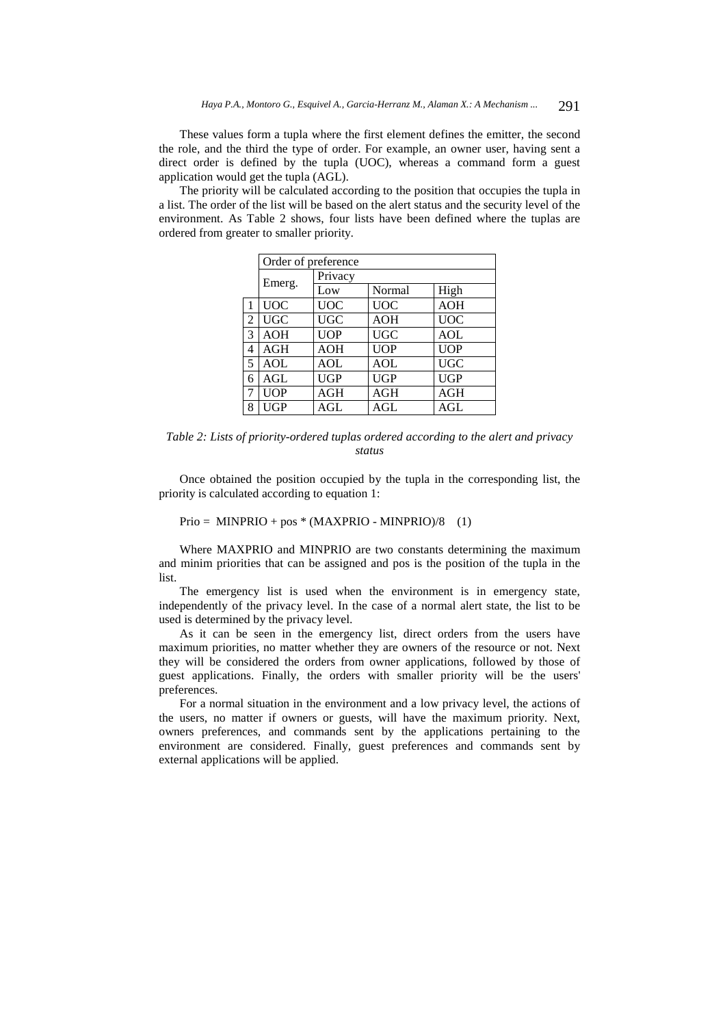These values form a tupla where the first element defines the emitter, the second the role, and the third the type of order. For example, an owner user, having sent a direct order is defined by the tupla (UOC), whereas a command form a guest application would get the tupla (AGL).

The priority will be calculated according to the position that occupies the tupla in a list. The order of the list will be based on the alert status and the security level of the environment. As Table 2 shows, four lists have been defined where the tuplas are ordered from greater to smaller priority.

|   | Order of preference |            |            |                   |  |  |
|---|---------------------|------------|------------|-------------------|--|--|
|   |                     | Privacy    |            |                   |  |  |
|   | Emerg.              | Low        | Normal     | High              |  |  |
| 1 | <b>UOC</b>          | <b>UOC</b> | <b>UOC</b> | <b>AOH</b>        |  |  |
| 2 | <b>UGC</b>          | <b>UGC</b> | <b>AOH</b> | <b>UOC</b>        |  |  |
| 3 | <b>AOH</b>          | <b>UOP</b> | <b>UGC</b> | <b>AOL</b>        |  |  |
| 4 | AGH                 | <b>AOH</b> | <b>UOP</b> | $\overline{UOP}$  |  |  |
| 5 | <b>AOL</b>          | <b>AOL</b> | <b>AOL</b> | $\overline{U}$ GC |  |  |
| 6 | AGL                 | <b>UGP</b> | <b>UGP</b> | <b>UGP</b>        |  |  |
| 7 | <b>UOP</b>          | AGH        | <b>AGH</b> | <b>AGH</b>        |  |  |
| 8 | UGP                 | AGL        | AGL        | AGL               |  |  |

*Table 2: Lists of priority-ordered tuplas ordered according to the alert and privacy status* 

Once obtained the position occupied by the tupla in the corresponding list, the priority is calculated according to equation 1:

 $Prio = MINPRIO + pos * (MAXPRIO - MINPRIO)/8$  (1)

Where MAXPRIO and MINPRIO are two constants determining the maximum and minim priorities that can be assigned and pos is the position of the tupla in the list.

The emergency list is used when the environment is in emergency state, independently of the privacy level. In the case of a normal alert state, the list to be used is determined by the privacy level.

As it can be seen in the emergency list, direct orders from the users have maximum priorities, no matter whether they are owners of the resource or not. Next they will be considered the orders from owner applications, followed by those of guest applications. Finally, the orders with smaller priority will be the users' preferences.

For a normal situation in the environment and a low privacy level, the actions of the users, no matter if owners or guests, will have the maximum priority. Next, owners preferences, and commands sent by the applications pertaining to the environment are considered. Finally, guest preferences and commands sent by external applications will be applied.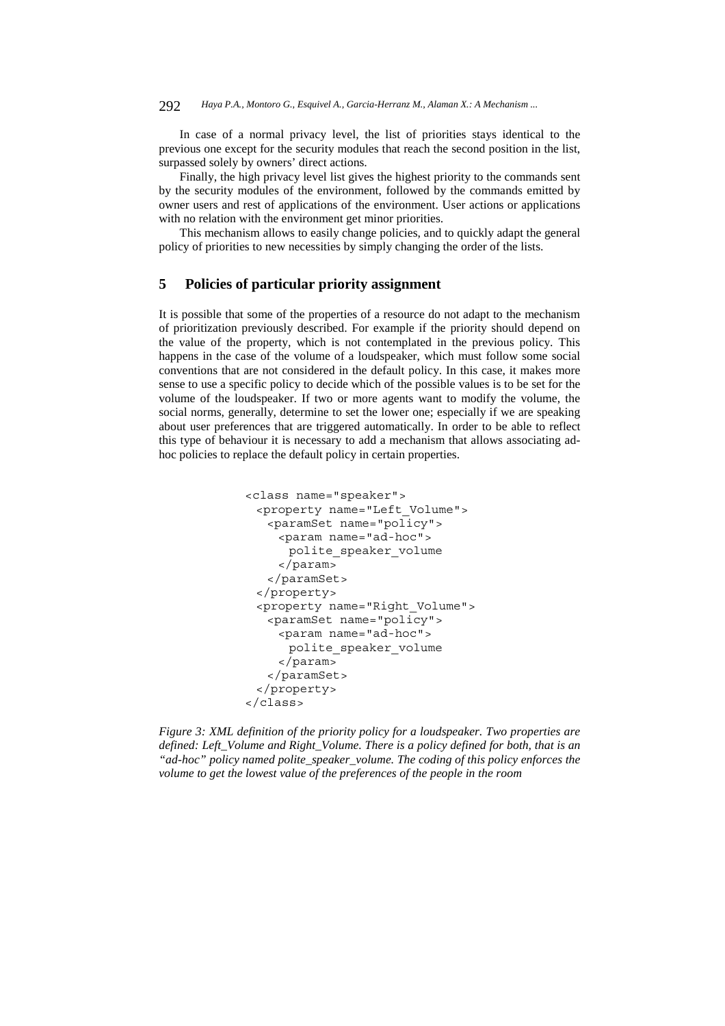In case of a normal privacy level, the list of priorities stays identical to the previous one except for the security modules that reach the second position in the list, surpassed solely by owners' direct actions.

Finally, the high privacy level list gives the highest priority to the commands sent by the security modules of the environment, followed by the commands emitted by owner users and rest of applications of the environment. User actions or applications with no relation with the environment get minor priorities.

This mechanism allows to easily change policies, and to quickly adapt the general policy of priorities to new necessities by simply changing the order of the lists.

## **5 Policies of particular priority assignment**

It is possible that some of the properties of a resource do not adapt to the mechanism of prioritization previously described. For example if the priority should depend on the value of the property, which is not contemplated in the previous policy. This happens in the case of the volume of a loudspeaker, which must follow some social conventions that are not considered in the default policy. In this case, it makes more sense to use a specific policy to decide which of the possible values is to be set for the volume of the loudspeaker. If two or more agents want to modify the volume, the social norms, generally, determine to set the lower one; especially if we are speaking about user preferences that are triggered automatically. In order to be able to reflect this type of behaviour it is necessary to add a mechanism that allows associating adhoc policies to replace the default policy in certain properties.

```
<class name="speaker"> 
 <property name="Left_Volume"> 
   <paramSet name="policy"> 
    <param name="ad-hoc"> 
      polite_speaker_volume 
    </param> 
   </paramSet> 
 </property> 
 <property name="Right_Volume"> 
   <paramSet name="policy"> 
    <param name="ad-hoc"> 
      polite_speaker_volume 
    </param> 
   </paramSet> 
 </property> 
</class>
```
*Figure 3: XML definition of the priority policy for a loudspeaker. Two properties are defined: Left\_Volume and Right\_Volume. There is a policy defined for both, that is an "ad-hoc" policy named polite\_speaker\_volume. The coding of this policy enforces the volume to get the lowest value of the preferences of the people in the room*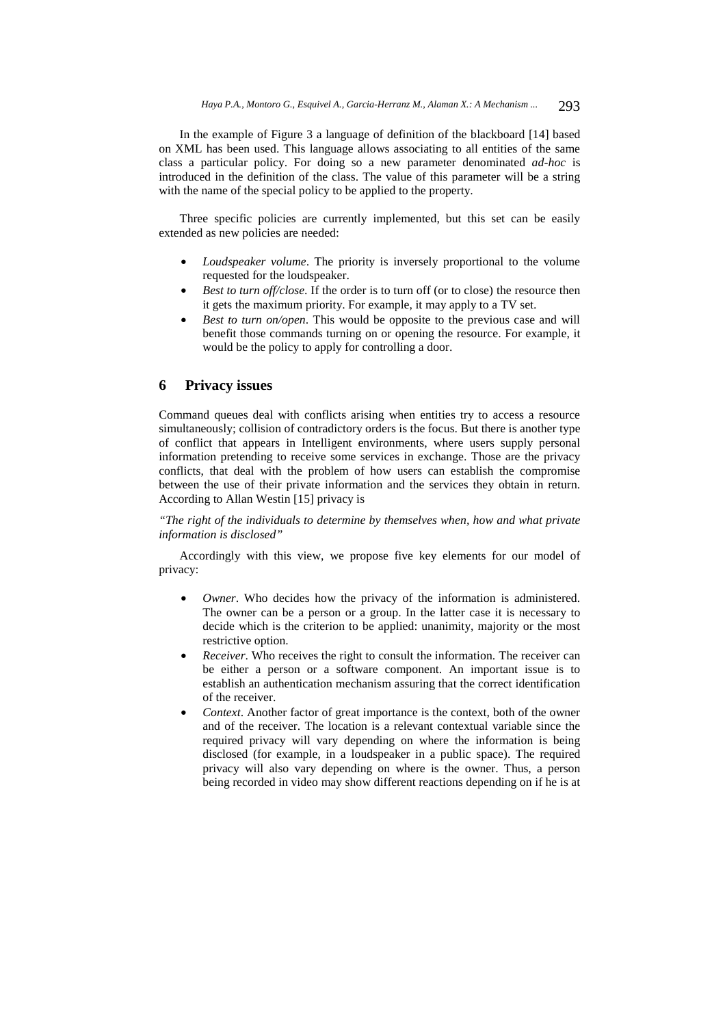In the example of Figure 3 a language of definition of the blackboard [14] based on XML has been used. This language allows associating to all entities of the same class a particular policy. For doing so a new parameter denominated *ad-hoc* is introduced in the definition of the class. The value of this parameter will be a string with the name of the special policy to be applied to the property.

Three specific policies are currently implemented, but this set can be easily extended as new policies are needed:

- *Loudspeaker volume*. The priority is inversely proportional to the volume requested for the loudspeaker.
- *Best to turn off/close*. If the order is to turn off (or to close) the resource then it gets the maximum priority. For example, it may apply to a TV set.
- *Best to turn on/open*. This would be opposite to the previous case and will benefit those commands turning on or opening the resource. For example, it would be the policy to apply for controlling a door.

### **6 Privacy issues**

Command queues deal with conflicts arising when entities try to access a resource simultaneously; collision of contradictory orders is the focus. But there is another type of conflict that appears in Intelligent environments, where users supply personal information pretending to receive some services in exchange. Those are the privacy conflicts, that deal with the problem of how users can establish the compromise between the use of their private information and the services they obtain in return. According to Allan Westin [15] privacy is

### *"The right of the individuals to determine by themselves when, how and what private information is disclosed"*

Accordingly with this view, we propose five key elements for our model of privacy:

- *Owner*. Who decides how the privacy of the information is administered. The owner can be a person or a group. In the latter case it is necessary to decide which is the criterion to be applied: unanimity, majority or the most restrictive option.
- *Receiver*. Who receives the right to consult the information. The receiver can be either a person or a software component. An important issue is to establish an authentication mechanism assuring that the correct identification of the receiver.
- *Context*. Another factor of great importance is the context, both of the owner and of the receiver. The location is a relevant contextual variable since the required privacy will vary depending on where the information is being disclosed (for example, in a loudspeaker in a public space). The required privacy will also vary depending on where is the owner. Thus, a person being recorded in video may show different reactions depending on if he is at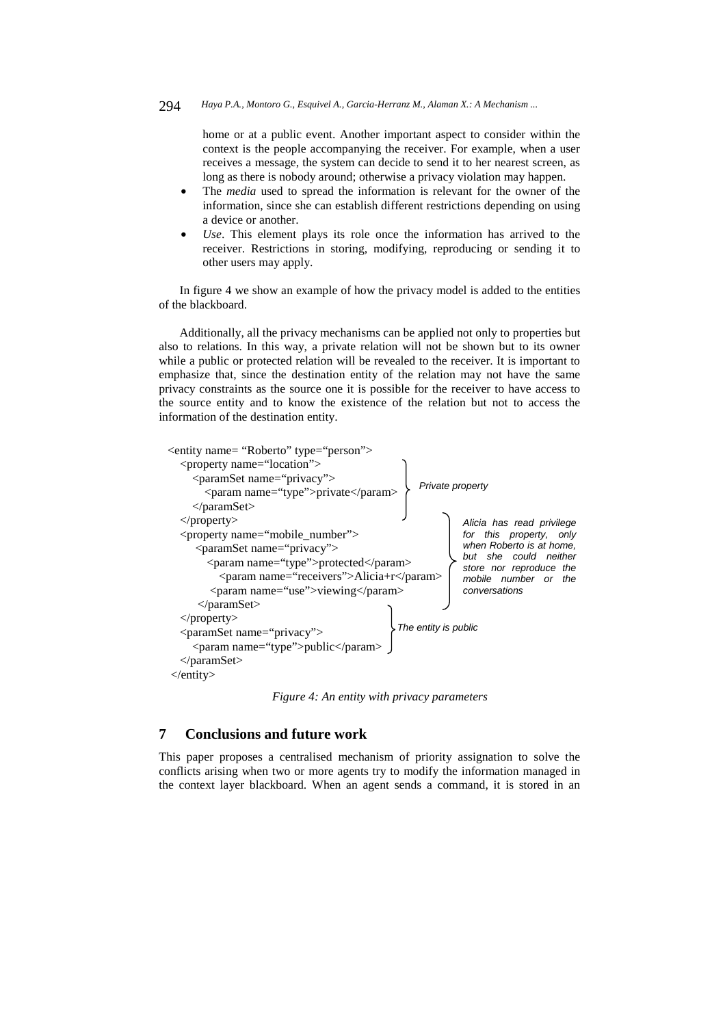home or at a public event. Another important aspect to consider within the context is the people accompanying the receiver. For example, when a user receives a message, the system can decide to send it to her nearest screen, as long as there is nobody around; otherwise a privacy violation may happen.

- The *media* used to spread the information is relevant for the owner of the information, since she can establish different restrictions depending on using a device or another.
- Use. This element plays its role once the information has arrived to the receiver. Restrictions in storing, modifying, reproducing or sending it to other users may apply.

In figure 4 we show an example of how the privacy model is added to the entities of the blackboard.

Additionally, all the privacy mechanisms can be applied not only to properties but also to relations. In this way, a private relation will not be shown but to its owner while a public or protected relation will be revealed to the receiver. It is important to emphasize that, since the destination entity of the relation may not have the same privacy constraints as the source one it is possible for the receiver to have access to the source entity and to know the existence of the relation but not to access the information of the destination entity.



*Figure 4: An entity with privacy parameters* 

## **7 Conclusions and future work**

This paper proposes a centralised mechanism of priority assignation to solve the conflicts arising when two or more agents try to modify the information managed in the context layer blackboard. When an agent sends a command, it is stored in an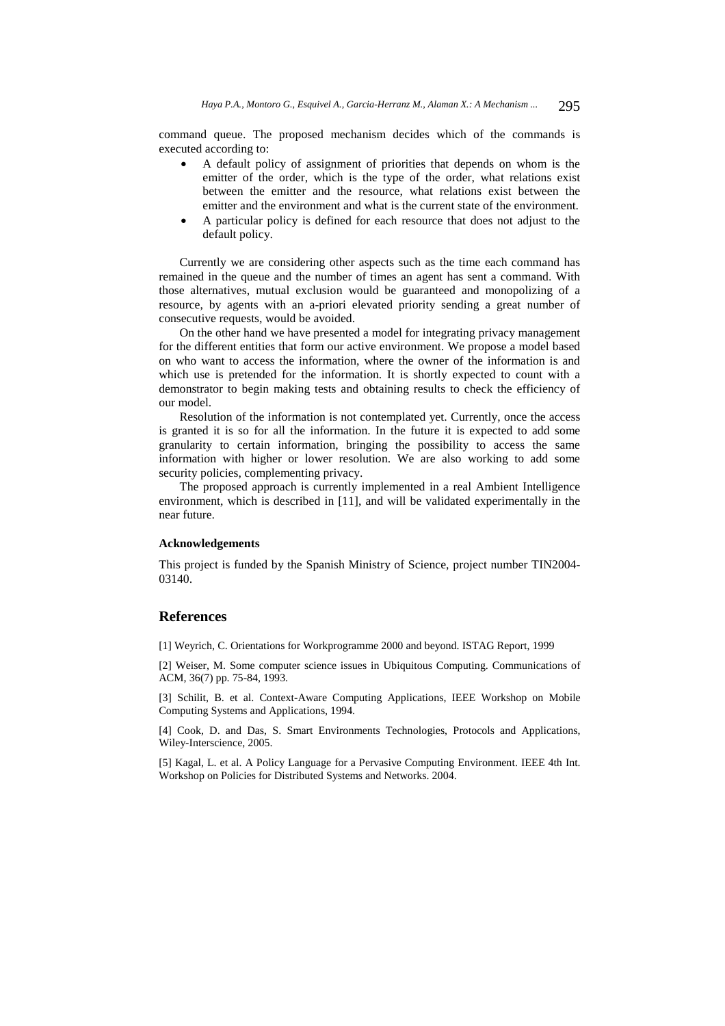command queue. The proposed mechanism decides which of the commands is executed according to:

- A default policy of assignment of priorities that depends on whom is the emitter of the order, which is the type of the order, what relations exist between the emitter and the resource, what relations exist between the emitter and the environment and what is the current state of the environment.
- A particular policy is defined for each resource that does not adjust to the default policy.

Currently we are considering other aspects such as the time each command has remained in the queue and the number of times an agent has sent a command. With those alternatives, mutual exclusion would be guaranteed and monopolizing of a resource, by agents with an a-priori elevated priority sending a great number of consecutive requests, would be avoided.

On the other hand we have presented a model for integrating privacy management for the different entities that form our active environment. We propose a model based on who want to access the information, where the owner of the information is and which use is pretended for the information. It is shortly expected to count with a demonstrator to begin making tests and obtaining results to check the efficiency of our model.

Resolution of the information is not contemplated yet. Currently, once the access is granted it is so for all the information. In the future it is expected to add some granularity to certain information, bringing the possibility to access the same information with higher or lower resolution. We are also working to add some security policies, complementing privacy.

The proposed approach is currently implemented in a real Ambient Intelligence environment, which is described in [11], and will be validated experimentally in the near future.

#### **Acknowledgements**

This project is funded by the Spanish Ministry of Science, project number TIN2004- 03140.

#### **References**

[1] Weyrich, C. Orientations for Workprogramme 2000 and beyond. ISTAG Report, 1999

[2] Weiser, M. Some computer science issues in Ubiquitous Computing. Communications of ACM, 36(7) pp. 75-84, 1993.

[3] Schilit, B. et al. Context-Aware Computing Applications, IEEE Workshop on Mobile Computing Systems and Applications, 1994.

[4] Cook, D. and Das, S. Smart Environments Technologies, Protocols and Applications, Wiley-Interscience, 2005.

[5] Kagal, L. et al. A Policy Language for a Pervasive Computing Environment. IEEE 4th Int. Workshop on Policies for Distributed Systems and Networks. 2004.